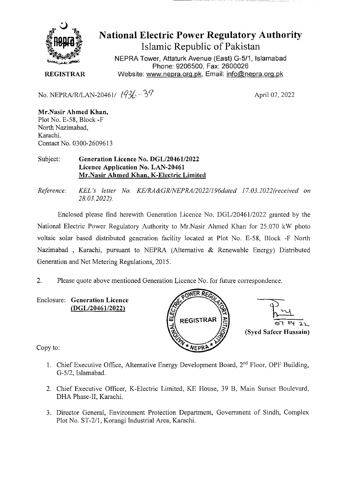

# **National Electric Power Regulatory Authority Islamic Republic of Pakistan**

NEPRA Tower, Attaturk Avenue (East) G-511, Islamabad Phone: 9206500, Fax: 2600026 **REGISTRAR** Website: www.nepra.org.pk, Email: info@nepra.org.pk

No. NEPRA/R/LAN-20461/  $(936 - 39)$  April 07, 2022

**Mr.Nasir Ahmed Khan,**  Plot No. E-58, Block -F North Nazimabad, Karachi. Contact No. 03 00-2609613

#### Subject: **Generation Licence No. DGL/20461/2022 Licence Application No. LAN-20461 Mr.Nasir Ahmed Khan, K-Electric Limited**

*Reference: KEL's letter No. KE/RA&GR/NEPRA/2022/I96dated ]7.03.2022(received on 28.03.2022).* 

Enclosed please find herewith Generation Licence No. DGL/20461/2022 granted by the National Electric Power Regulatory Authority to Mr.Nasir Ahmed Khan for 25.070 kW photo voltaic solar based distributed generation facility located at Plot No. E-58, Block -F North Nazimabad , Karachi, pursuant to NEPRA (Alternative & Renewable Energy) Distributed Generation and Net Metering Regulations, 2015.

2. Please quote above mentioned Generation Licence No. for future correspondence.

Enclosure: **Generation Licence (DGL/20461/2022)** 



Copy to:

- 1. Chief Executive Office, Alternative Energy Development Board, 2<sup>nd</sup> Floor, OPF Building, *G-512,* Islamabad.
- 2. Chief Executive Officer, K-Electric Limited, KE House, 39 B, Main Sunset Boulevard, DHA Phase-II, Karachi.
- 3. Director General, Environment Protection Department, Government of Sindh, Complex Plot No. ST-2/1, Korangi Industrial Area, Karachi.